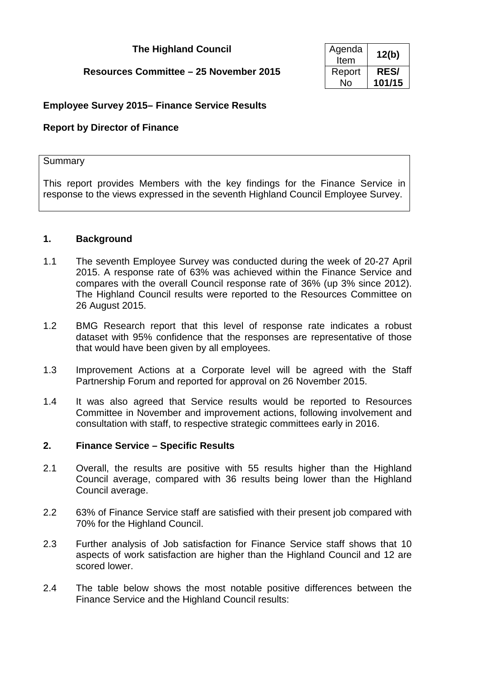# **The Highland Council**

## **Resources Committee – 25 November 2015**

| Agenda<br>Item | 12(b)       |
|----------------|-------------|
| Report         | <b>RES/</b> |
| Nο             | 101/15      |

## **Employee Survey 2015– Finance Service Results**

### **Report by Director of Finance**

#### **Summary**

This report provides Members with the key findings for the Finance Service in response to the views expressed in the seventh Highland Council Employee Survey.

#### **1. Background**

- 1.1 The seventh Employee Survey was conducted during the week of 20-27 April 2015. A response rate of 63% was achieved within the Finance Service and compares with the overall Council response rate of 36% (up 3% since 2012). The Highland Council results were reported to the Resources Committee on 26 August 2015.
- 1.2 BMG Research report that this level of response rate indicates a robust dataset with 95% confidence that the responses are representative of those that would have been given by all employees.
- 1.3 Improvement Actions at a Corporate level will be agreed with the Staff Partnership Forum and reported for approval on 26 November 2015.
- 1.4 It was also agreed that Service results would be reported to Resources Committee in November and improvement actions, following involvement and consultation with staff, to respective strategic committees early in 2016.

#### **2. Finance Service – Specific Results**

- 2.1 Overall, the results are positive with 55 results higher than the Highland Council average, compared with 36 results being lower than the Highland Council average.
- 2.2 63% of Finance Service staff are satisfied with their present job compared with 70% for the Highland Council.
- 2.3 Further analysis of Job satisfaction for Finance Service staff shows that 10 aspects of work satisfaction are higher than the Highland Council and 12 are scored lower.
- 2.4 The table below shows the most notable positive differences between the Finance Service and the Highland Council results: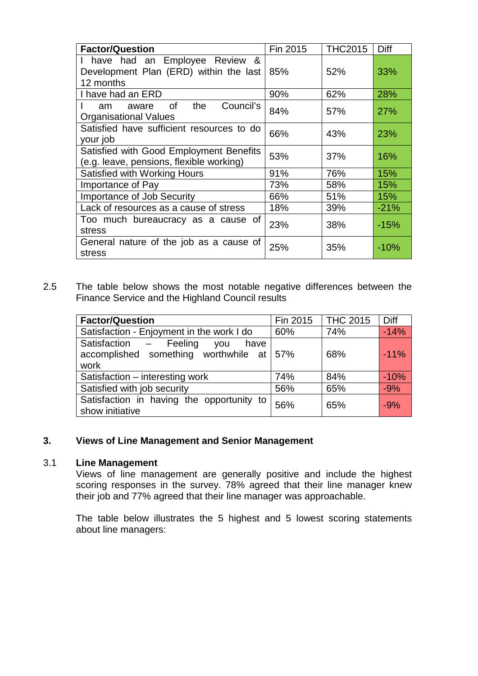| <b>Factor/Question</b>                                                                 | Fin 2015 | <b>THC2015</b> | Diff       |
|----------------------------------------------------------------------------------------|----------|----------------|------------|
| I have had an Employee Review &<br>Development Plan (ERD) within the last<br>12 months | 85%      | 52%            | 33%        |
| I have had an ERD                                                                      | 90%      | 62%            | 28%        |
| Council's<br>the<br>0f<br>am<br>aware<br><b>Organisational Values</b>                  | 84%      | 57%            | <b>27%</b> |
| Satisfied have sufficient resources to do<br>your job                                  | 66%      | 43%            | 23%        |
| Satisfied with Good Employment Benefits<br>(e.g. leave, pensions, flexible working)    | 53%      | 37%            | 16%        |
| <b>Satisfied with Working Hours</b>                                                    | 91%      | 76%            | 15%        |
| Importance of Pay                                                                      | 73%      | 58%            | 15%        |
| Importance of Job Security                                                             | 66%      | 51%            | 15%        |
| Lack of resources as a cause of stress                                                 | 18%      | 39%            | $-21%$     |
| Too much bureaucracy as a cause of<br>stress                                           | 23%      | 38%            | $-15%$     |
| General nature of the job as a cause of<br>stress                                      | 25%      | 35%            | $-10%$     |

2.5 The table below shows the most notable negative differences between the Finance Service and the Highland Council results

| <b>Factor/Question</b>                                                                 | Fin 2015 | <b>THC 2015</b> | Diff   |
|----------------------------------------------------------------------------------------|----------|-----------------|--------|
| Satisfaction - Enjoyment in the work I do                                              | 60%      | 74%             | $-14%$ |
| Satisfaction - Feeling you<br>have<br>accomplished something worthwhile at 57%<br>work |          | 68%             | $-11%$ |
| Satisfaction - interesting work                                                        | 74%      | 84%             | $-10%$ |
| Satisfied with job security                                                            | 56%      | 65%             | $-9%$  |
| Satisfaction in having the opportunity to<br>show initiative                           | 56%      | 65%             | $-9%$  |

## **3. Views of Line Management and Senior Management**

#### 3.1 **Line Management**

Views of line management are generally positive and include the highest scoring responses in the survey. 78% agreed that their line manager knew their job and 77% agreed that their line manager was approachable.

The table below illustrates the 5 highest and 5 lowest scoring statements about line managers: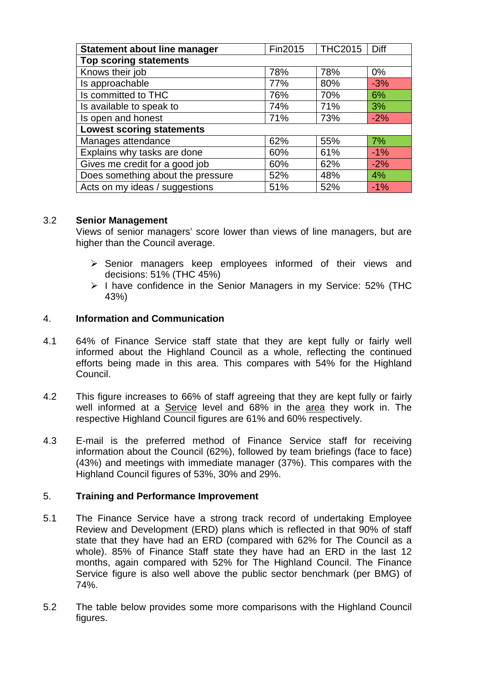| <b>Statement about line manager</b> | Fin2015 | <b>THC2015</b> | Diff  |
|-------------------------------------|---------|----------------|-------|
| <b>Top scoring statements</b>       |         |                |       |
| Knows their job                     | 78%     | 78%            | $0\%$ |
| Is approachable                     | 77%     | 80%            | $-3%$ |
| Is committed to THC                 | 76%     | 70%            | 6%    |
| Is available to speak to            | 74%     | 71%            | 3%    |
| Is open and honest                  | 71%     | 73%            | $-2%$ |
| <b>Lowest scoring statements</b>    |         |                |       |
| Manages attendance                  | 62%     | 55%            | 7%    |
| Explains why tasks are done         | 60%     | 61%            | $-1%$ |
| Gives me credit for a good job      | 60%     | 62%            | $-2%$ |
| Does something about the pressure   | 52%     | 48%            | 4%    |
| Acts on my ideas / suggestions      | 51%     | 52%            | $-1%$ |

### 3.2 **Senior Management**

Views of senior managers' score lower than views of line managers, but are higher than the Council average.

- $\triangleright$  Senior managers keep employees informed of their views and decisions: 51% (THC 45%)
- $\triangleright$  I have confidence in the Senior Managers in my Service: 52% (THC 43%)

## 4. **Information and Communication**

- 4.1 64% of Finance Service staff state that they are kept fully or fairly well informed about the Highland Council as a whole, reflecting the continued efforts being made in this area. This compares with 54% for the Highland Council.
- 4.2 This figure increases to 66% of staff agreeing that they are kept fully or fairly well informed at a Service level and 68% in the area they work in. The respective Highland Council figures are 61% and 60% respectively.
- 4.3 E-mail is the preferred method of Finance Service staff for receiving information about the Council (62%), followed by team briefings (face to face) (43%) and meetings with immediate manager (37%). This compares with the Highland Council figures of 53%, 30% and 29%.

# 5. **Training and Performance Improvement**

- 5.1 The Finance Service have a strong track record of undertaking Employee Review and Development (ERD) plans which is reflected in that 90% of staff state that they have had an ERD (compared with 62% for The Council as a whole). 85% of Finance Staff state they have had an ERD in the last 12 months, again compared with 52% for The Highland Council. The Finance Service figure is also well above the public sector benchmark (per BMG) of 74%.
- 5.2 The table below provides some more comparisons with the Highland Council figures.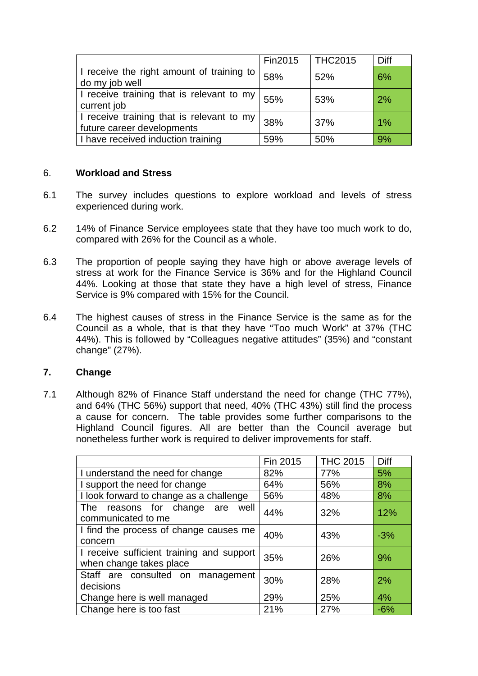|                                                                         | Fin2015 | <b>THC2015</b> | Diff  |
|-------------------------------------------------------------------------|---------|----------------|-------|
| I receive the right amount of training to<br>do my job well             | 58%     | 52%            | 6%    |
| I receive training that is relevant to my<br>current job                | 55%     | 53%            | 2%    |
| I receive training that is relevant to my<br>future career developments | 38%     | 37%            | $1\%$ |
| I have received induction training                                      | 59%     | 50%            | 9%    |

### 6. **Workload and Stress**

- 6.1 The survey includes questions to explore workload and levels of stress experienced during work.
- 6.2 14% of Finance Service employees state that they have too much work to do, compared with 26% for the Council as a whole.
- 6.3 The proportion of people saying they have high or above average levels of stress at work for the Finance Service is 36% and for the Highland Council 44%. Looking at those that state they have a high level of stress, Finance Service is 9% compared with 15% for the Council.
- 6.4 The highest causes of stress in the Finance Service is the same as for the Council as a whole, that is that they have "Too much Work" at 37% (THC 44%). This is followed by "Colleagues negative attitudes" (35%) and "constant change" (27%).

# **7. Change**

7.1 Although 82% of Finance Staff understand the need for change (THC 77%), and 64% (THC 56%) support that need, 40% (THC 43%) still find the process a cause for concern. The table provides some further comparisons to the Highland Council figures. All are better than the Council average but nonetheless further work is required to deliver improvements for staff.

|                                                                      | Fin 2015 | <b>THC 2015</b> | Diff  |
|----------------------------------------------------------------------|----------|-----------------|-------|
| I understand the need for change                                     | 82%      | 77%             | 5%    |
| I support the need for change                                        | 64%      | 56%             | 8%    |
| I look forward to change as a challenge                              | 56%      | 48%             | 8%    |
| The reasons for change are<br>well<br>communicated to me             | 44%      | 32%             | 12%   |
| I find the process of change causes me<br>concern                    | 40%      | 43%             | $-3%$ |
| I receive sufficient training and support<br>when change takes place | 35%      | 26%             | 9%    |
| Staff are consulted on management<br>decisions                       | 30%      | 28%             | 2%    |
| Change here is well managed                                          | 29%      | 25%             | 4%    |
| Change here is too fast                                              | 21%      | 27%             | $-6%$ |